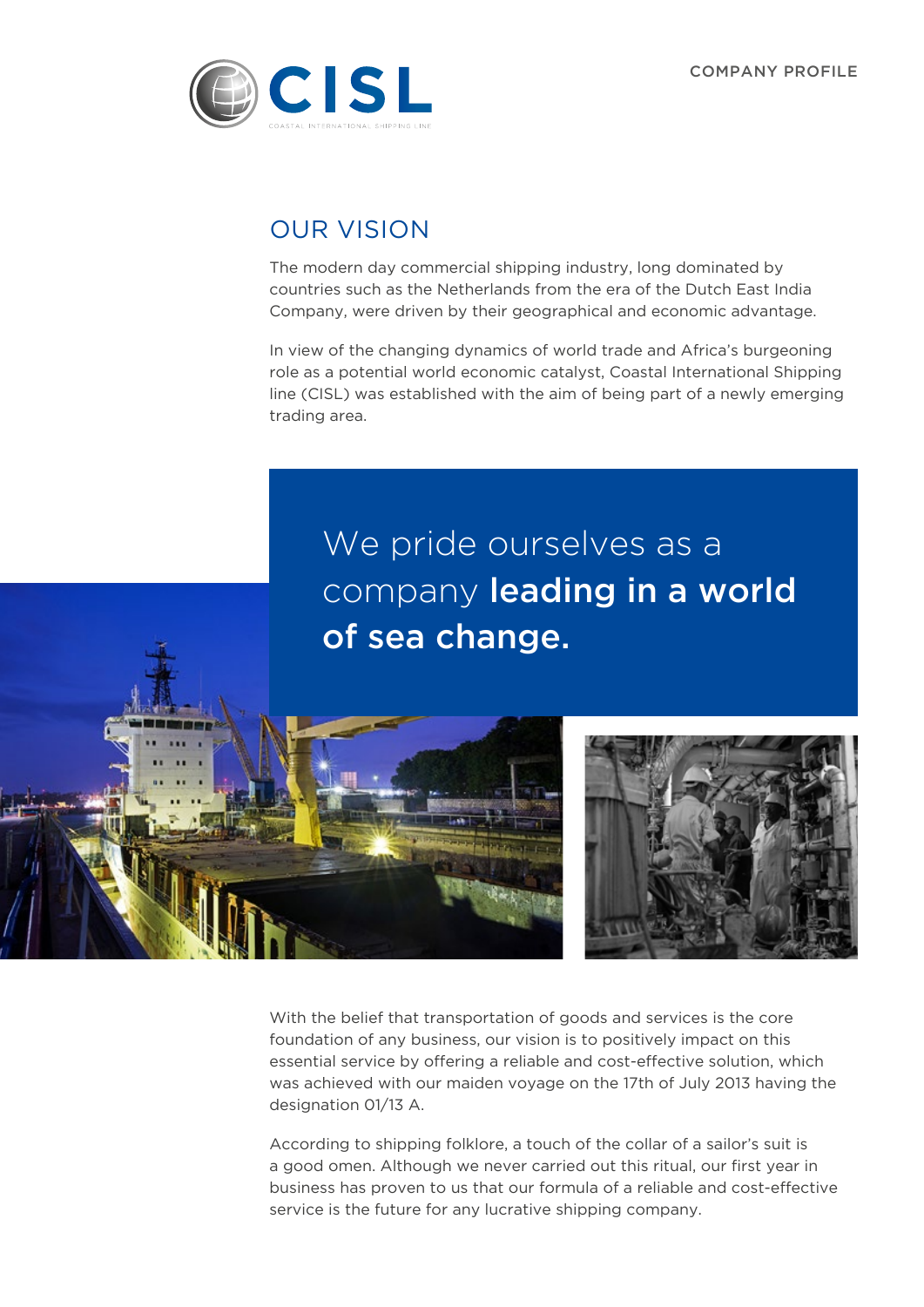

## OUR VISION

The modern day commercial shipping industry, long dominated by countries such as the Netherlands from the era of the Dutch East India Company, were driven by their geographical and economic advantage.

In view of the changing dynamics of world trade and Africa's burgeoning role as a potential world economic catalyst, Coastal International Shipping line (CISL) was established with the aim of being part of a newly emerging trading area.

We pride ourselves as a company leading in a world of sea change.



With the belief that transportation of goods and services is the core foundation of any business, our vision is to positively impact on this essential service by offering a reliable and cost-effective solution, which was achieved with our maiden voyage on the 17th of July 2013 having the designation 01/13 A.

According to shipping folklore, a touch of the collar of a sailor's suit is a good omen. Although we never carried out this ritual, our first year in business has proven to us that our formula of a reliable and cost-effective service is the future for any lucrative shipping company.